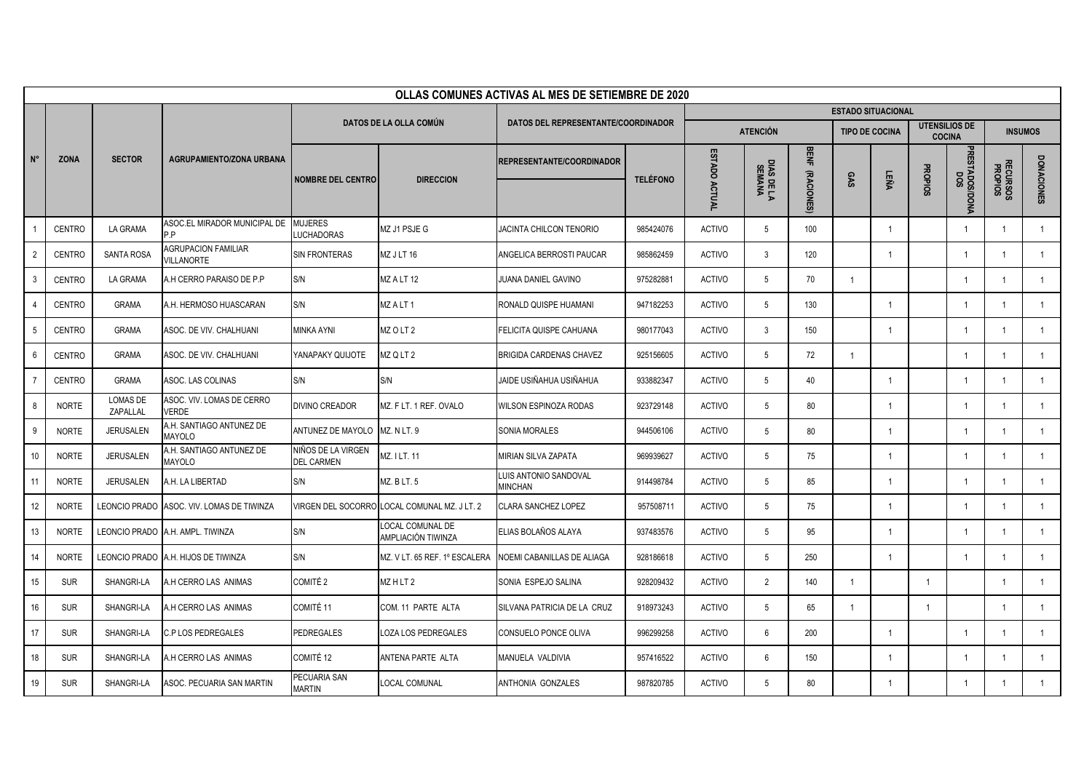| OLLAS COMUNES ACTIVAS AL MES DE SETIEMBRE DE 2020 |               |                             |                                                 |                                         |                                              |                                     |                 |                                              |                 |                           |                       |                |                                |                |                            |                   |
|---------------------------------------------------|---------------|-----------------------------|-------------------------------------------------|-----------------------------------------|----------------------------------------------|-------------------------------------|-----------------|----------------------------------------------|-----------------|---------------------------|-----------------------|----------------|--------------------------------|----------------|----------------------------|-------------------|
|                                                   |               | <b>SECTOR</b>               | AGRUPAMIENTO/ZONA URBANA                        | DATOS DE LA OLLA COMÚN                  |                                              | DATOS DEL REPRESENTANTE/COORDINADOR |                 | <b>ESTADO SITUACIONAL</b>                    |                 |                           |                       |                |                                |                |                            |                   |
| N°                                                |               |                             |                                                 |                                         |                                              |                                     |                 | <b>ATENCIÓN</b>                              |                 |                           | <b>TIPO DE COCINA</b> |                | UTENSILIOS DE<br><b>COCINA</b> |                | <b>INSUMOS</b>             |                   |
|                                                   | <b>ZONA</b>   |                             |                                                 | <b>NOMBRE DEL CENTRO</b>                | <b>DIRECCION</b>                             | REPRESENTANTE/COORDINADOR           | <b>TELÉFONO</b> | <b>ESTADO ACTUAL</b><br>DIAS DE LA<br>SEMANA |                 | <b>BENF</b><br>(RACIONES) | <b>SAS</b>            | LEÑA           | PROPIOS                        | PRESTADOS/DONA |                            |                   |
|                                                   |               |                             |                                                 |                                         |                                              |                                     |                 |                                              |                 |                           |                       |                |                                |                | <b>RECURSOS</b><br>PROPIOS | <b>DONACIONES</b> |
|                                                   | <b>CENTRO</b> | LA GRAMA                    | ASOC.EL MIRADOR MUNICIPAL DE<br>P.P             | <b>MUJERES</b><br>LUCHADORAS            | MZ J1 PSJE G                                 | JACINTA CHILCON TENORIO             | 985424076       | <b>ACTIVO</b>                                | $5\phantom{.0}$ | 100                       |                       | $\overline{1}$ |                                |                | $\overline{1}$             | $\overline{1}$    |
| $\overline{2}$                                    | <b>CENTRO</b> | <b>SANTA ROSA</b>           | <b>AGRUPACION FAMILIAR</b><br><b>VILLANORTE</b> | SIN FRONTERAS                           | MZ J LT 16                                   | ANGELICA BERROSTI PAUCAR            | 985862459       | <b>ACTIVO</b>                                | $\mathbf{3}$    | 120                       |                       | $\overline{1}$ |                                |                | $\overline{1}$             | $\overline{1}$    |
| $\mathbf{3}$                                      | <b>CENTRO</b> | LA GRAMA                    | A.H CERRO PARAISO DE P.P                        | S/N                                     | MZ A LT 12                                   | JUANA DANIEL GAVINO                 | 975282881       | <b>ACTIVO</b>                                | 5               | 70                        | $\overline{1}$        |                |                                |                |                            |                   |
| $\overline{4}$                                    | <b>CENTRO</b> | <b>GRAMA</b>                | A.H. HERMOSO HUASCARAN                          | S/N                                     | MZ A LT 1                                    | RONALD QUISPE HUAMANI               | 947182253       | <b>ACTIVO</b>                                | 5               | 130                       |                       | -1             |                                |                |                            |                   |
| 5                                                 | <b>CENTRO</b> | <b>GRAMA</b>                | ASOC. DE VIV. CHALHUANI                         | <b>MINKA AYNI</b>                       | MZ O LT 2                                    | FELICITA QUISPE CAHUANA             | 980177043       | <b>ACTIVO</b>                                | 3               | 150                       |                       | -1             |                                |                |                            |                   |
| 6                                                 | <b>CENTRO</b> | <b>GRAMA</b>                | ASOC. DE VIV. CHALHUANI                         | YANAPAKY QUIJOTE                        | MZ Q LT 2                                    | <b>BRIGIDA CARDENAS CHAVEZ</b>      | 925156605       | <b>ACTIVO</b>                                | 5               | 72                        | $\overline{1}$        |                |                                |                | -1                         | -1                |
| $\overline{7}$                                    | <b>CENTRO</b> | <b>GRAMA</b>                | ASOC. LAS COLINAS                               | S/N                                     | S/N                                          | JAIDE USIÑAHUA USIÑAHUA             | 933882347       | <b>ACTIVO</b>                                | 5               | 40                        |                       | -1             |                                |                | $\overline{1}$             |                   |
| $\mathbf{8}$                                      | <b>NORTE</b>  | <b>LOMAS DE</b><br>ZAPALLAL | ASOC. VIV. LOMAS DE CERRO<br>VERDE              | <b>DIVINO CREADOR</b>                   | MZ. F LT. 1 REF. OVALO                       | <b>WILSON ESPINOZA RODAS</b>        | 923729148       | <b>ACTIVO</b>                                | 5               | 80                        |                       | $\overline{1}$ |                                |                | $\overline{1}$             | $\overline{1}$    |
| 9                                                 | <b>NORTE</b>  | <b>JERUSALEN</b>            | A.H. SANTIAGO ANTUNEZ DE<br><b>MAYOLO</b>       | ANTUNEZ DE MAYOLO MZ. N LT. 9           |                                              | SONIA MORALES                       | 944506106       | <b>ACTIVO</b>                                | 5               | 80                        |                       | -1             |                                |                |                            |                   |
| 1 <sup>1</sup>                                    | <b>NORTE</b>  | <b>JERUSALEN</b>            | A.H. SANTIAGO ANTUNEZ DE<br><b>MAYOLO</b>       | NIÑOS DE LA VIRGEN<br><b>DEL CARMEN</b> | MZ. ILT. 11                                  | <b>MIRIAN SILVA ZAPATA</b>          | 969939627       | <b>ACTIVO</b>                                | 5               | 75                        |                       | -1             |                                |                |                            |                   |
| 11                                                | <b>NORTE</b>  | <b>JERUSALEN</b>            | A.H. LA LIBERTAD                                | S/N                                     | MZ. B LT. 5                                  | LUIS ANTONIO SANDOVAL<br>MINCHAN    | 914498784       | <b>ACTIVO</b>                                | 5               | 85                        |                       | -1             |                                |                |                            |                   |
| 12                                                | <b>NORTE</b>  | LEONCIO PRADO               | ASOC. VIV. LOMAS DE TIWINZA                     |                                         | VIRGEN DEL SOCORRO LOCAL COMUNAL MZ. J LT. 2 | CLARA SANCHEZ LOPEZ                 | 957508711       | <b>ACTIVO</b>                                | 5               | 75                        |                       | $\overline{1}$ |                                |                |                            | $\overline{1}$    |
| 13                                                | <b>NORTE</b>  |                             | LEONCIO PRADO A.H. AMPL. TIWINZA                | S/N                                     | OCAL COMUNAL DE<br>AMPLIACIÓN TIWINZA        | ELIAS BOLAÑOS ALAYA                 | 937483576       | <b>ACTIVO</b>                                | 5               | 95                        |                       | $\overline{1}$ |                                |                | $\overline{1}$             | $\overline{1}$    |
| 14                                                | <b>NORTE</b>  |                             | LEONCIO PRADO A.H. HIJOS DE TIWINZA             | S/N                                     | MZ. V LT. 65 REF. 1º ESCALERA                | NOEMI CABANILLAS DE ALIAGA          | 928186618       | <b>ACTIVO</b>                                | 5               | 250                       |                       | $\overline{1}$ |                                |                | $\overline{1}$             | $\overline{1}$    |
| 15                                                | <b>SUR</b>    | SHANGRI-LA                  | A.H CERRO LAS ANIMAS                            | COMITÉ <sub>2</sub>                     | MZHLT2                                       | SONIA ESPEJO SALINA                 | 928209432       | <b>ACTIVO</b>                                | $\overline{2}$  | 140                       | $\overline{1}$        |                | $\overline{1}$                 |                | $\overline{1}$             |                   |
| 16                                                | <b>SUR</b>    | SHANGRI-LA                  | A.H CERRO LAS ANIMAS                            | COMITÉ 11                               | COM. 11 PARTE ALTA                           | SILVANA PATRICIA DE LA CRUZ         | 918973243       | <b>ACTIVO</b>                                | 5               | 65                        | $\mathbf{1}$          |                | $\mathbf{1}$                   |                |                            |                   |
| 17                                                | <b>SUR</b>    | SHANGRI-LA                  | <b>C.P LOS PEDREGALES</b>                       | PEDREGALES                              | LOZA LOS PEDREGALES                          | CONSUELO PONCE OLIVA                | 996299258       | <b>ACTIVO</b>                                | 6               | 200                       |                       | $\overline{1}$ |                                |                | - 1                        | -1                |
| 18                                                | <b>SUR</b>    | SHANGRI-LA                  | A.H CERRO LAS ANIMAS                            | COMITÉ 12                               | ANTENA PARTE ALTA                            | MANUELA VALDIVIA                    | 957416522       | <b>ACTIVO</b>                                | 6               | 150                       |                       | -1             |                                |                | -1                         | -1                |
| 19                                                | <b>SUR</b>    | SHANGRI-LA                  | ASOC. PECUARIA SAN MARTIN                       | PECUARIA SAN<br><b>MARTIN</b>           | <b>LOCAL COMUNAL</b>                         | ANTHONIA GONZALES                   | 987820785       | <b>ACTIVO</b>                                | 5               | 80                        |                       | -1             |                                |                |                            |                   |